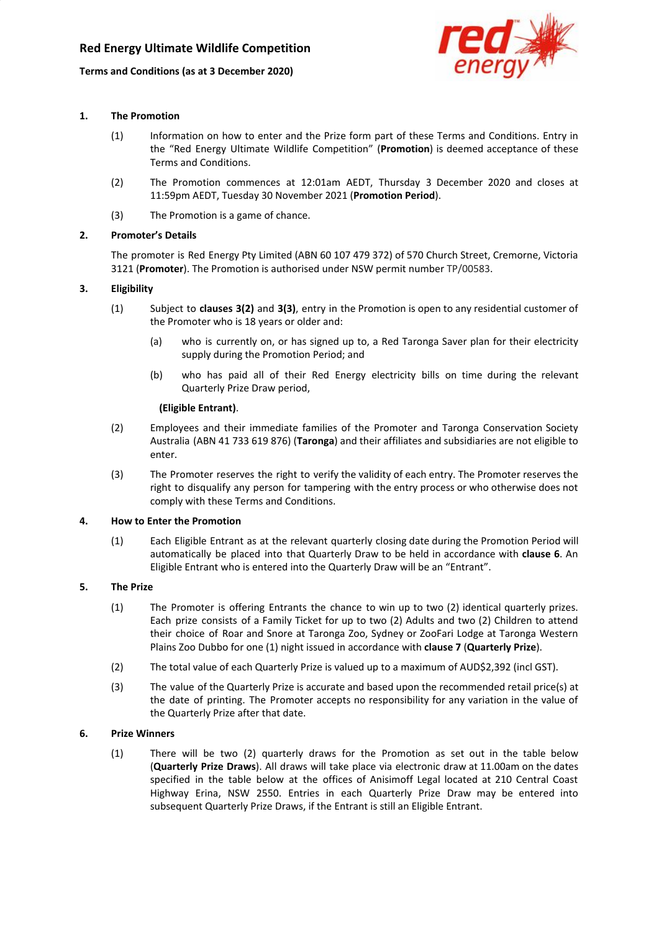

## **1. The Promotion**

- (1) Information on how to enter and the Prize form part of these Terms and Conditions. Entry in the "Red Energy Ultimate Wildlife Competition" (**Promotion**) is deemed acceptance of these Terms and Conditions.
- (2) The Promotion commences at 12:01am AEDT, Thursday 3 December 2020 and closes at 11:59pm AEDT, Tuesday 30 November 2021 (**Promotion Period**).
- (3) The Promotion is a game of chance.

# **2. Promoter's Details**

The promoter is Red Energy Pty Limited (ABN 60 107 479 372) of 570 Church Street, Cremorne, Victoria 3121 (**Promoter**). The Promotion is authorised under NSW permit number TP/00583.

# **3. Eligibility**

- (1) Subject to **clauses 3(2)** and **3(3)**, entry in the Promotion is open to any residential customer of the Promoter who is 18 years or older and:
	- (a) who is currently on, or has signed up to, a Red Taronga Saver plan for their electricity supply during the Promotion Period; and
	- (b) who has paid all of their Red Energy electricity bills on time during the relevant Quarterly Prize Draw period,

#### **(Eligible Entrant)**.

- (2) Employees and their immediate families of the Promoter and Taronga Conservation Society Australia (ABN 41 733 619 876) (**Taronga**) and their affiliates and subsidiaries are not eligible to enter.
- (3) The Promoter reserves the right to verify the validity of each entry. The Promoter reserves the right to disqualify any person for tampering with the entry process or who otherwise does not comply with these Terms and Conditions.

## **4. How to Enter the Promotion**

(1) Each Eligible Entrant as at the relevant quarterly closing date during the Promotion Period will automatically be placed into that Quarterly Draw to be held in accordance with **clause 6**. An Eligible Entrant who is entered into the Quarterly Draw will be an "Entrant".

## **5. The Prize**

- (1) The Promoter is offering Entrants the chance to win up to two (2) identical quarterly prizes. Each prize consists of a Family Ticket for up to two (2) Adults and two (2) Children to attend their choice of Roar and Snore at Taronga Zoo, Sydney or ZooFari Lodge at Taronga Western Plains Zoo Dubbo for one (1) night issued in accordance with **clause 7** (**Quarterly Prize**).
- (2) The total value of each Quarterly Prize is valued up to a maximum of AUD\$2,392 (incl GST).
- (3) The value of the Quarterly Prize is accurate and based upon the recommended retail price(s) at the date of printing. The Promoter accepts no responsibility for any variation in the value of the Quarterly Prize after that date.

## **6. Prize Winners**

(1) There will be two (2) quarterly draws for the Promotion as set out in the table below (**Quarterly Prize Draws**). All draws will take place via electronic draw at 11.00am on the dates specified in the table below at the offices of Anisimoff Legal located at 210 Central Coast Highway Erina, NSW 2550. Entries in each Quarterly Prize Draw may be entered into subsequent Quarterly Prize Draws, if the Entrant is still an Eligible Entrant.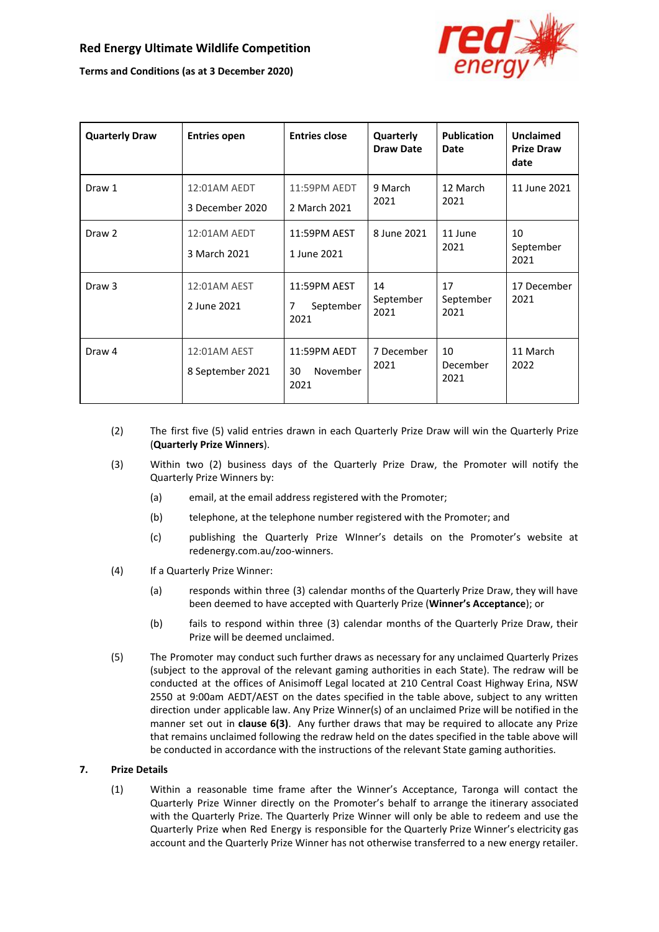

| <b>Quarterly Draw</b> | <b>Entries open</b>              | <b>Entries close</b>                                | Quarterly<br><b>Draw Date</b> | <b>Publication</b><br>Date | <b>Unclaimed</b><br><b>Prize Draw</b><br>date |
|-----------------------|----------------------------------|-----------------------------------------------------|-------------------------------|----------------------------|-----------------------------------------------|
| Draw 1                | 12:01AM AEDT<br>3 December 2020  | 11:59PM AEDT<br>2 March 2021                        | 9 March<br>2021               | 12 March<br>2021           | 11 June 2021                                  |
| Draw <sub>2</sub>     | 12:01AM AEDT<br>3 March 2021     | 11:59PM AEST<br>1 June 2021                         | 8 June 2021                   | 11 June<br>2021            | 10<br>September<br>2021                       |
| Draw <sub>3</sub>     | 12:01AM AEST<br>2 June 2021      | 11:59PM AEST<br>$\overline{7}$<br>September<br>2021 | 14<br>September<br>2021       | 17<br>September<br>2021    | 17 December<br>2021                           |
| Draw 4                | 12:01AM AEST<br>8 September 2021 | 11:59PM AEDT<br>November<br>30<br>2021              | 7 December<br>2021            | 10<br>December<br>2021     | 11 March<br>2022                              |

- (2) The first five (5) valid entries drawn in each Quarterly Prize Draw will win the Quarterly Prize (**Quarterly Prize Winners**).
- (3) Within two (2) business days of the Quarterly Prize Draw, the Promoter will notify the Quarterly Prize Winners by:
	- (a) email, at the email address registered with the Promoter;
	- (b) telephone, at the telephone number registered with the Promoter; and
	- (c) publishing the Quarterly Prize WInner's details on the Promoter's website at redenergy.com.au/zoo-winners.
- (4) If a Quarterly Prize Winner:
	- (a) responds within three (3) calendar months of the Quarterly Prize Draw, they will have been deemed to have accepted with Quarterly Prize (**Winner's Acceptance**); or
	- (b) fails to respond within three (3) calendar months of the Quarterly Prize Draw, their Prize will be deemed unclaimed.
- (5) The Promoter may conduct such further draws as necessary for any unclaimed Quarterly Prizes (subject to the approval of the relevant gaming authorities in each State). The redraw will be conducted at the offices of Anisimoff Legal located at 210 Central Coast Highway Erina, NSW 2550 at 9:00am AEDT/AEST on the dates specified in the table above, subject to any written direction under applicable law. Any Prize Winner(s) of an unclaimed Prize will be notified in the manner set out in **clause 6(3)**. Any further draws that may be required to allocate any Prize that remains unclaimed following the redraw held on the dates specified in the table above will be conducted in accordance with the instructions of the relevant State gaming authorities.

## **7. Prize Details**

(1) Within a reasonable time frame after the Winner's Acceptance, Taronga will contact the Quarterly Prize Winner directly on the Promoter's behalf to arrange the itinerary associated with the Quarterly Prize. The Quarterly Prize Winner will only be able to redeem and use the Quarterly Prize when Red Energy is responsible for the Quarterly Prize Winner's electricity gas account and the Quarterly Prize Winner has not otherwise transferred to a new energy retailer.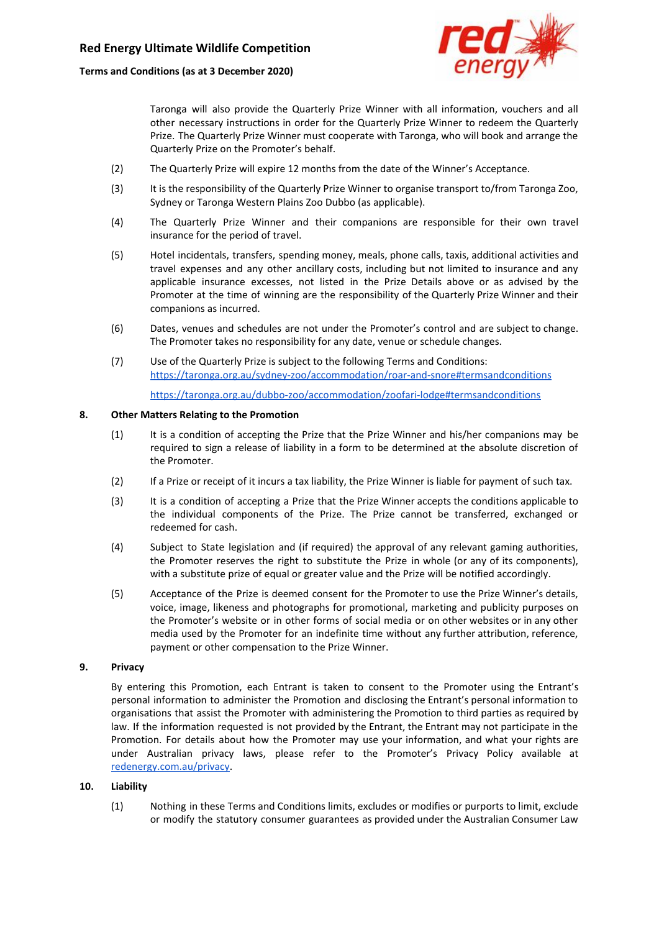

Taronga will also provide the Quarterly Prize Winner with all information, vouchers and all other necessary instructions in order for the Quarterly Prize Winner to redeem the Quarterly Prize. The Quarterly Prize Winner must cooperate with Taronga, who will book and arrange the Quarterly Prize on the Promoter's behalf.

- (2) The Quarterly Prize will expire 12 months from the date of the Winner's Acceptance.
- (3) It is the responsibility of the Quarterly Prize Winner to organise transport to/from Taronga Zoo, Sydney or Taronga Western Plains Zoo Dubbo (as applicable).
- (4) The Quarterly Prize Winner and their companions are responsible for their own travel insurance for the period of travel.
- (5) Hotel incidentals, transfers, spending money, meals, phone calls, taxis, additional activities and travel expenses and any other ancillary costs, including but not limited to insurance and any applicable insurance excesses, not listed in the Prize Details above or as advised by the Promoter at the time of winning are the responsibility of the Quarterly Prize Winner and their companions as incurred.
- (6) Dates, venues and schedules are not under the Promoter's control and are subject to change. The Promoter takes no responsibility for any date, venue or schedule changes.
- (7) Use of the Quarterly Prize is subject to the following Terms and Conditions: <https://taronga.org.au/sydney-zoo/accommodation/roar-and-snore#termsandconditions>

<https://taronga.org.au/dubbo-zoo/accommodation/zoofari-lodge#termsandconditions>

## **8. Other Matters Relating to the Promotion**

- (1) It is a condition of accepting the Prize that the Prize Winner and his/her companions may be required to sign a release of liability in a form to be determined at the absolute discretion of the Promoter.
- (2) If a Prize or receipt of it incurs a tax liability, the Prize Winner is liable for payment of such tax.
- (3) It is a condition of accepting a Prize that the Prize Winner accepts the conditions applicable to the individual components of the Prize. The Prize cannot be transferred, exchanged or redeemed for cash.
- (4) Subject to State legislation and (if required) the approval of any relevant gaming authorities, the Promoter reserves the right to substitute the Prize in whole (or any of its components), with a substitute prize of equal or greater value and the Prize will be notified accordingly.
- (5) Acceptance of the Prize is deemed consent for the Promoter to use the Prize Winner's details, voice, image, likeness and photographs for promotional, marketing and publicity purposes on the Promoter's website or in other forms of social media or on other websites or in any other media used by the Promoter for an indefinite time without any further attribution, reference, payment or other compensation to the Prize Winner.

## **9. Privacy**

By entering this Promotion, each Entrant is taken to consent to the Promoter using the Entrant's personal information to administer the Promotion and disclosing the Entrant's personal information to organisations that assist the Promoter with administering the Promotion to third parties as required by law. If the information requested is not provided by the Entrant, the Entrant may not participate in the Promotion. For details about how the Promoter may use your information, and what your rights are under Australian privacy laws, please refer to the Promoter's Privacy Policy available a[t](https://www.redenergy.com.au/privacy) [redenergy.com.au/privacy.](https://www.redenergy.com.au/privacy)

## **10. Liability**

(1) Nothing in these Terms and Conditions limits, excludes or modifies or purports to limit, exclude or modify the statutory consumer guarantees as provided under the Australian Consumer Law